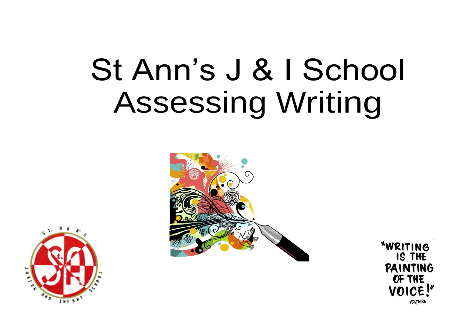# St Ann's J & I School Assessing Writing





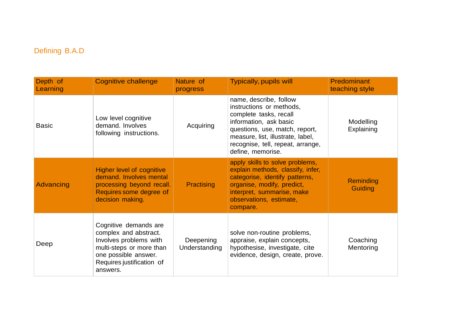## Defining B.A.D

| Depth of<br>Learning | <b>Cognitive challenge</b>                                                                                                                                            | Nature of<br>progress      | <b>Typically, pupils will</b>                                                                                                                                                                                                           | <b>Predominant</b><br>teaching style |
|----------------------|-----------------------------------------------------------------------------------------------------------------------------------------------------------------------|----------------------------|-----------------------------------------------------------------------------------------------------------------------------------------------------------------------------------------------------------------------------------------|--------------------------------------|
| <b>Basic</b>         | Low level cognitive<br>demand. Involves<br>following instructions.                                                                                                    | Acquiring                  | name, describe, follow<br>instructions or methods,<br>complete tasks, recall<br>information, ask basic<br>questions, use, match, report,<br>measure, list, illustrate, label,<br>recognise, tell, repeat, arrange,<br>define, memorise. | Modelling<br>Explaining              |
| <b>Advancing</b>     | <b>Higher level of cognitive</b><br>demand. Involves mental<br>processing beyond recall.<br>Requires some degree of<br>decision making.                               | Practising                 | apply skills to solve problems,<br>explain methods, classify, infer,<br>categorise, identify patterns,<br>organise, modify, predict,<br>interpret, summarise, make<br>observations, estimate,<br>compare.                               | <b>Reminding</b><br><b>Guiding</b>   |
| Deep                 | Cognitive demands are<br>complex and abstract.<br>Involves problems with<br>multi-steps or more than<br>one possible answer.<br>Requires justification of<br>answers. | Deepening<br>Understanding | solve non-routine problems,<br>appraise, explain concepts,<br>hypothesise, investigate, cite<br>evidence, design, create, prove.                                                                                                        | Coaching<br>Mentoring                |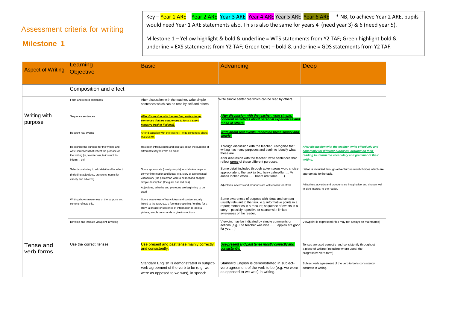#### Assessment criteria for writing

Key – Year 1 ARE Year 2 ARE Year 3 ARE Year 4 ARE Year 5 ARE Year 6 ARE \* NB, to achieve Year 2 ARE, pupils would need Year 1 ARE statements also. This is also the same for years 4 (need year 3) & 6 (need year 5).

#### **Milestone 1**

Milestone 1 – Yellow highlight & bold & underline = WTS statements from Y2 TAF; Green highlight bold & underline = EXS statements from Y2 TAF; Green text – bold & underline = GDS statements from Y2 TAF.

| <b>Aspect of Writing</b> | Learning<br><b>Objective</b>                                                                                                                             | <b>Basic</b>                                                                                                                                                                                                                                                                              | Advancing                                                                                                                                                                                                                                                  | Deep                                                                                                                                                                                             |
|--------------------------|----------------------------------------------------------------------------------------------------------------------------------------------------------|-------------------------------------------------------------------------------------------------------------------------------------------------------------------------------------------------------------------------------------------------------------------------------------------|------------------------------------------------------------------------------------------------------------------------------------------------------------------------------------------------------------------------------------------------------------|--------------------------------------------------------------------------------------------------------------------------------------------------------------------------------------------------|
|                          | Composition and effect                                                                                                                                   |                                                                                                                                                                                                                                                                                           |                                                                                                                                                                                                                                                            |                                                                                                                                                                                                  |
|                          | Form and record sentences                                                                                                                                | After discussion with the teacher, write simple<br>sentences which can be read by self and others.                                                                                                                                                                                        | Write simple sentences which can be read by others.                                                                                                                                                                                                        |                                                                                                                                                                                                  |
| Writing with<br>purpose  | Sequence sentences                                                                                                                                       | After discussion with the teacher, write simple<br>sentences that are sequenced to form a short<br>narrative (real or fictional).                                                                                                                                                         | After discussion with the teacher, write simple,<br>coherent narratives about personal experiences and<br>those of others.                                                                                                                                 |                                                                                                                                                                                                  |
|                          | Recount real events                                                                                                                                      | After discussion with the teacher, write sentences about<br>real events.                                                                                                                                                                                                                  | Write about real events, recording these simply and<br>clearlv.                                                                                                                                                                                            |                                                                                                                                                                                                  |
|                          | Recognise the purpose for the writing and<br>write sentences that reflect the purpose of<br>the writing (ie, to entertain, to instruct, to<br>informetc) | Has been introduced to and can talk about the purpose of<br>different text types with an adult.                                                                                                                                                                                           | Through discussion with the teacher, recognise that<br>writing has many purposes and begin to identify what<br>these are.<br>After discussion with the teacher, write sentences that<br>reflect some of these different purposes.                          | After discussion with the teacher, write effectively and<br>coherently for different purposes, drawing on their<br>reading to inform the vocabulary and grammar of their<br>writing.             |
|                          | Select vocabulary to add detail and for effect<br>(including adjectives, pronouns, nouns for<br>variety and adverbs)                                     | Some appropriate (mostly simple) word choice helps to<br>convey information and ideas, e.g. story or topic related<br>vocabulary (the policeman wore a helmet and badge):<br>simple description (the giant has red hair).<br>Adjectives, adverbs and pronouns are beginning to be<br>used | Some detail included through adventurous word choice<br>appropriate to the task (a big, hairy caterpillar Mr<br>Jones looked cross bears are fierce)<br>Adjectives, adverbs and pronouns are well chosen for effect                                        | Detail is included through adventurous word choices which are<br>appropriate to the task.<br>Adjectives, adverbs and pronouns are imaginative and chosen well<br>to give interest to the reader. |
|                          | Writing shows awareness of the purpose and<br>content reflects this.                                                                                     | Some awareness of basic ideas and content usually<br>linked to the task, e.g. a formulaic opening / ending for a<br>story, a phrase or sentence of information to label a<br>picture, simple commands to give instructions.                                                               | Some awareness of purpose with ideas and content<br>usually relevant to the task, e.g. informative points in a<br>report; memories in a recount; sequence of events in a<br>story - possibly repetitive or sparse with limited<br>awareness of the reader. |                                                                                                                                                                                                  |
|                          | Develop and indicate viewpoint in writing                                                                                                                |                                                                                                                                                                                                                                                                                           | Viewoint may be indicated by simple comments or<br>actions (e.g. The teacher was nice  apples are good<br>for you)                                                                                                                                         | Viewpoint is expressed (this may not always be maintained)                                                                                                                                       |
| Tense and<br>verb forms  | Use the correct tenses.                                                                                                                                  | Use present and past tense mainly correctly<br>and consistently.                                                                                                                                                                                                                          | Use present and past tense mostly correctly and<br>consistently.                                                                                                                                                                                           | Tenses are used correctly and consistently throughout<br>a piece of writing (including where used, the<br>progressive verb form)                                                                 |
|                          |                                                                                                                                                          | Standard English is demonstrated in subject-<br>verb agreement of the verb to be (e.g. we<br>were as opposed to we was), in speech                                                                                                                                                        | Standard English is demonstrated in subject-<br>verb agreement of the verb to be (e.g. we were<br>as opposed to we was) in writing.                                                                                                                        | Subject verb agreement of the verb to be is consistently<br>accurate in writing.                                                                                                                 |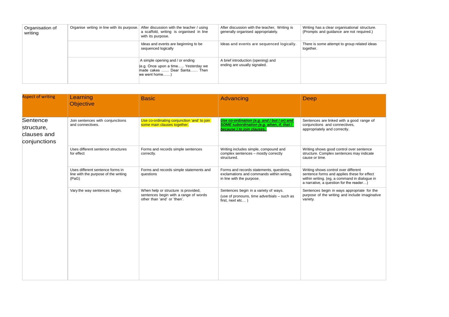| Organisation of<br>writing | Organise writing in line with its purpose. | After discussion with the teacher / using<br>a scaffold, writing is organised in line<br>with its purpose.              | After discussion with the teacher, Writing is<br>generally organised appropriately. | Writing has a clear organisational structure.<br>(Prompts and quidance are not required.) |
|----------------------------|--------------------------------------------|-------------------------------------------------------------------------------------------------------------------------|-------------------------------------------------------------------------------------|-------------------------------------------------------------------------------------------|
|                            |                                            | Ideas and events are beginning to be<br>sequenced logically                                                             | Ideas and events are sequenced logically.                                           | There is some attempt to group related ideas<br>together.                                 |
|                            |                                            | A simple opening and / or ending<br>(e.g. Once upon a time Yesterday we<br>made cakes  Dear Santa Then<br>we went home) | A brief introduction (opening) and<br>ending are usually signaled.                  |                                                                                           |

| <b>Aspect of writing</b>                              | Learning<br>Objective                                                             | <b>Basic</b>                                                                                                | Advancing                                                                                                                    | Deep                                                                                                                                                                            |
|-------------------------------------------------------|-----------------------------------------------------------------------------------|-------------------------------------------------------------------------------------------------------------|------------------------------------------------------------------------------------------------------------------------------|---------------------------------------------------------------------------------------------------------------------------------------------------------------------------------|
| Sentence<br>structure,<br>clauses and<br>conjunctions | Join sentences with conjunctions<br>and connectives.                              | Use co-ordinating conjunction 'and' to join<br>some main clauses together.                                  | Use co-ordination (e.g. and / but / or) and<br><b>SOME</b> subordination (e.g. when, if, that /<br>because) to join clauses. | Sentences are linked with a good range of<br>conjunctions and connectives,<br>appropriately and correctly.                                                                      |
|                                                       | Uses different sentence structures<br>for effect                                  | Forms and records simple sentences<br>correctly.                                                            | Writing includes simple, compound and<br>complex sentences - mostly correctly<br>structured.                                 | Writing shows good control over sentence<br>structure. Complex sentences may indicate<br>cause or time.                                                                         |
|                                                       | Uses different sentence forms in<br>line with the purpose of the writing<br>(PaG) | Forms and records simple statements and<br>questions                                                        | Forms and records statements, questions,<br>exclamations and commands within writing,<br>in line with the purpose.           | Writing shows control over different<br>sentence forms and applies these for effect<br>within writing. (eg, a command in dialogue in<br>a narrative, a question for the reader) |
|                                                       | Vary the way sentences begin.                                                     | When help or structure is provided,<br>sentences begin with a range of words<br>other than 'and' or 'then'. | Sentences begin in a variety of ways.<br>(use of pronouns, time adverbials - such as<br>first, next etc)                     | Sentences begin in ways appropriate for the<br>purpose of the writing and include imaginative<br>variety.                                                                       |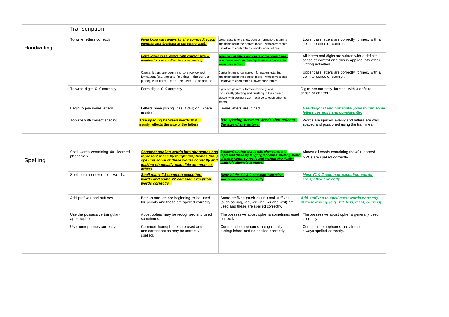|             | Transcription                                   |                                                                                                                                                                                         |                                                                                                                                                                                 |                                                                                                                              |
|-------------|-------------------------------------------------|-----------------------------------------------------------------------------------------------------------------------------------------------------------------------------------------|---------------------------------------------------------------------------------------------------------------------------------------------------------------------------------|------------------------------------------------------------------------------------------------------------------------------|
| Handwriting | To write letters correctly                      | <b>Form lower case letters in the correct direction</b><br>(starting and finishing in the right place).                                                                                 | Lower case letters show correct formation. (starting<br>and finishing in the correct place), with correct size<br>- relative to each other & capital case letters.              | Lower case letters are correctly formed, with a<br>definite sense of control.                                                |
|             |                                                 | Form lower case letters with correct size -<br>relative to one another in some writing                                                                                                  | Form capital letters and digits of the correct size,<br>orientation and relationship to each other and to<br>lower case letters.                                                | All letters and digits are written with a definite<br>sense of control and this is applied into other<br>writing activities. |
|             |                                                 | Capital letters are beginning to show correct<br>formation. (starting and finishing in the correct<br>place), with correct size - relative to one another.                              | Capital letters show correct formation. (starting<br>and finishing in the correct place), with correct size<br>- relative to each other & lower case letters. .                 | Upper case letters are correctly formed, with a<br>definite sense of control.                                                |
|             | To write digits 0-9 correctly                   | Form digits 0-9 correctly                                                                                                                                                               | Digits are generally formed correctly and<br>consistently (starting and finishing in the correct<br>place), with correct size - relative to each other &<br>letters.            | Digits are correctly formed, with a definite<br>sense of control.                                                            |
|             | Begin to join some letters.                     | Letters have joining lines (flicks) on (where<br>needed).                                                                                                                               | Some letters are joined.                                                                                                                                                        | Use diagonal and horizontal joins to join some<br>letters correctly and consistently.                                        |
|             | To write with correct spacing                   | Use spacing between words that<br>mainly reflects the size of the letters                                                                                                               | Use spacing between words that reflects<br>the size of the letters.                                                                                                             | Words are spaced evenly and letters are well<br>spaced and positioned using the tramlines.                                   |
|             |                                                 |                                                                                                                                                                                         |                                                                                                                                                                                 |                                                                                                                              |
| Spelling    | Spell words containing 40+ learned<br>phonemes. | Segment spoken words into phonemes and<br>represent these by taught graphemes (ph5)<br>spelling some of these words correctly and<br>making phonically-plausible attempts at<br>others. | Segment spoken words into phonemes and<br>represent these by taught graphemes spelling many<br>of these words correctly and making phonically-<br>plausible attempts at others. | Almost all words containing the 40+ learned<br>GPCs are spelled correctly.                                                   |
|             | Spell common exception words.                   | <b>Spell many Y1 common exception</b><br>words and some Y2 common exception<br>words correctly.                                                                                         | Many of the Y1 & 2 common exception<br>words are spelled correctly.                                                                                                             | Most Y1 & 2 common exception words<br>are spelled correctly.                                                                 |
|             | Add prefixes and suffixes.                      | Both -s and -es are beginning to be used<br>for plurals and these are spelled correctly.                                                                                                | Some prefixes (such as un-) and suffixes<br>(such as -ing, -ed, -er, -ing, -er and -est) are<br>used and these are spelled correctly.                                           | Add suffixes to spell most words correctly<br>in their writing. (e.g. ful, less, ment, ly, ness)                             |
|             | Use the possessive (singular)<br>apostrophe.    | Apostrophes may be recognised and used<br>sometimes.                                                                                                                                    | The possessive apostrophe is sometimes used<br>correctly.                                                                                                                       | The possessive apostrophe is generally used<br>correctly.                                                                    |
|             | Use homophones correctly.                       | Common homophones are used and<br>one correct option may be correctly<br>spelled.                                                                                                       | Common homophones are generally<br>distinguished and so spelled correctly.                                                                                                      | Common homophones are almost<br>always spelled correctly.                                                                    |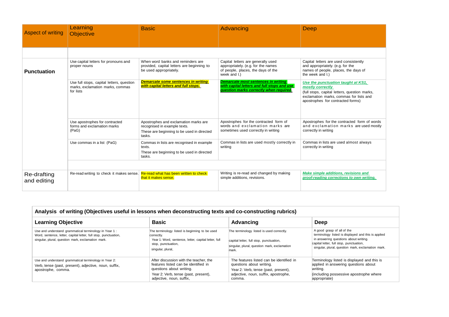| Aspect of writing          | Learning<br><b>Objective</b>                                                               | <b>Basic</b>                                                                                                                  | Advancing                                                                                                                            | Deep                                                                                                                                                                                    |
|----------------------------|--------------------------------------------------------------------------------------------|-------------------------------------------------------------------------------------------------------------------------------|--------------------------------------------------------------------------------------------------------------------------------------|-----------------------------------------------------------------------------------------------------------------------------------------------------------------------------------------|
|                            |                                                                                            |                                                                                                                               |                                                                                                                                      |                                                                                                                                                                                         |
| <b>Punctuation</b>         | Use capital letters for pronouns and<br>proper nouns                                       | When word banks and reminders are<br>provided, capital letters are beginning to<br>be used appropriately.                     | Capital letters are generally used<br>appropriately. (e.g. for the names<br>of people, places, the days of the<br>week and I.)       | Capital letters are used consistently<br>and appropriately. (e.g. for the<br>names of people, places, the days of<br>the week and I.)                                                   |
|                            | Use full stops, capital letters, question<br>marks, exclamation marks, commas<br>for lists | Demarcate some sentences in writing<br>with capital letters and full stops.                                                   | <b>Demarcate most sentences in writing</b><br>with capital letters and full stops and use<br>question marks correctly when required. | Use the punctuation taught at KS1,<br>mostly correctly<br>(full stops, capital letters, question marks,<br>exclamation marks, commas for lists and<br>apostrophes for contracted forms) |
|                            | Use apostrophes for contracted<br>forms and exclamation marks<br>(PaG)                     | Apostrophes and exclamation marks are<br>recognised in example texts.<br>These are beginning to be used in directed<br>tasks. | Apostrophes for the contracted form of<br>words and exclamation marks are<br>sometimes used correctly in writing                     | Apostrophes for the contracted form of words<br>and exclamation marks are used mostly<br>correctly in writing                                                                           |
|                            | Use commas in a list (PaG)                                                                 | Commas in lists are recognised in example<br>texts.<br>These are beginning to be used in directed<br>tasks.                   | Commas in lists are used mostly correctly in<br>writing                                                                              | Commas in lists are used almost always<br>correctly in writing                                                                                                                          |
|                            |                                                                                            |                                                                                                                               |                                                                                                                                      |                                                                                                                                                                                         |
| Re-drafting<br>and editing | Re-read writing to check it makes sense.                                                   | Re-read what has been written to check<br>that it makes sense.                                                                | Writing is re-read and changed by making<br>simple additions, revisions.                                                             | Make simple additions, revisions and<br>proof-reading corrections to own writing.                                                                                                       |

| Analysis of writing (Objectives useful in lessons when deconstructing texts and co-constructing rubrics)                                                                       |                                                                                                                                                                                |                                                                                                                                                                |                                                                                                                                                                                                                             |  |
|--------------------------------------------------------------------------------------------------------------------------------------------------------------------------------|--------------------------------------------------------------------------------------------------------------------------------------------------------------------------------|----------------------------------------------------------------------------------------------------------------------------------------------------------------|-----------------------------------------------------------------------------------------------------------------------------------------------------------------------------------------------------------------------------|--|
| <b>Learning Objective</b>                                                                                                                                                      | <b>Basic</b>                                                                                                                                                                   | <b>Advancing</b>                                                                                                                                               | Deep                                                                                                                                                                                                                        |  |
| Use and understand grammatical terminology in Year 1:<br>Word, sentence, letter, capital letter, full stop, punctuation,<br>singular, plural, question mark, exclamation mark. | The terminology listed is beginning to be used<br>correctly.<br>Year 1: Word, sentence, letter, capital letter, full<br>stop, punctuation,<br>singular, plural,                | The terminology listed is used correctly.<br>capital letter, full stop, punctuation,<br>singular, plural, question mark, exclamation<br>mark.                  | A good grasp of all of the<br>terminology listed is displayed and this is applied<br>in answering questions about writing.<br>capital letter, full stop, punctuation,<br>singular, plural, question mark, exclamation mark. |  |
| Use and understand grammatical terminology in Year 2:<br>Verb, tense (past, present), adjective, noun, suffix,<br>apostrophe, comma.                                           | After discussion with the teacher, the<br>features listed can be identified in<br>questions about writing.<br>Year 2: Verb, tense (past, present),<br>adjective, noun, suffix, | The features listed can be identified in<br>questions about writing.<br>Year 2: Verb, tense (past, present),<br>adjective, noun, suffix, apostrophe,<br>comma. | Terminology listed is displayed and this is<br>applied in answering questions about<br>writing.<br>(including possessive apostrophe where<br>appropriate)                                                                   |  |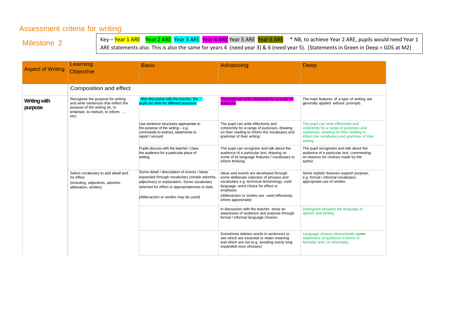### Assessment criteria for writing

Milestone 2

Key – Year 1 ARE Year 2 ARE Year 3 ARE Year 4 ARE Year 5 ARE Year 6 ARE \* NB, to achieve Year 2 ARE, pupils would need Year 1 ARE statements also. This is also the same for years 4 (need year 3) & 6 (need year 5). (Statements in Green in Deep = GDS at M2)

| <b>Aspect of Writing</b>       | Learning<br><b>Objective</b>                                                                                                                              | <b>Basic</b>                                                                                                                                                                                                                            | Advancing                                                                                                                                                                                                                                                       | Deep                                                                                                                                                                              |
|--------------------------------|-----------------------------------------------------------------------------------------------------------------------------------------------------------|-----------------------------------------------------------------------------------------------------------------------------------------------------------------------------------------------------------------------------------------|-----------------------------------------------------------------------------------------------------------------------------------------------------------------------------------------------------------------------------------------------------------------|-----------------------------------------------------------------------------------------------------------------------------------------------------------------------------------|
|                                | Composition and effect                                                                                                                                    |                                                                                                                                                                                                                                         |                                                                                                                                                                                                                                                                 |                                                                                                                                                                                   |
| <b>Writing with</b><br>purpose | Recognise the purpose for writing<br>and write sentences that reflect the<br>purpose of the writing (ie, to<br>entertain, to instruct, to inform,<br>etc) | After discussion with the teacher, the<br>pupil can write for different purposes.                                                                                                                                                       | The pupil can write effectively for a range of<br>purposes                                                                                                                                                                                                      | The main features of a type of writing are<br>generally applied without prompts.                                                                                                  |
|                                |                                                                                                                                                           | Use sentence structures appropriate to<br>the purpose of the writing $-$ e.g.<br>commands to instruct, statements to<br>report / recount                                                                                                | The pupil can write effectively and<br>coherently for a range of purposes, drawing<br>on their reading to inform the vocabulary and<br>grammar of their writing.                                                                                                | The pupil can write effectively and<br>coherently for a range of purposes and<br>audiences, drawing on their reading to<br>inform the vocabulary and grammar of their<br>writing. |
|                                |                                                                                                                                                           | Pupils discuss with the teacher / class<br>the audience for a particular piece of<br>writing,                                                                                                                                           | The pupil can recognise and talk about the<br>audience of a particular text, drawing on<br>some of its language features / vocabulary to<br>inform thinking.                                                                                                    | The pupil recognises and talk about the<br>audience of a particular text, commenting<br>on reasons for choices made by the<br>author.                                             |
|                                | Select vocabulary to add detail and<br>for effect<br>(including adjectives, adverbs,<br>alliteration, similes)                                            | Some detail / description of events / ideas<br>expanded through vocabulary (simple adverbs,<br>adjectives) or explanation. Some vocabulary<br>selected for effect or appropriateness to task.<br>(Alliteraction or similes may be used) | Ideas and events are developed through<br>some deliberate selection of phrases and<br>vocabulary e.g. technical terminology; vivid<br>language; word choice for effect or<br>emphasis.<br>(Alliteraction or similes are used effectively,<br>where apporpriate) | Some stylistic features support purpose,<br>e.g. formal / informal vocabulary;<br>appropriate use of similes.                                                                     |
|                                |                                                                                                                                                           |                                                                                                                                                                                                                                         | In discussion with the teacher, show an<br>awareness of audience and purpose through<br>formal / informal language choices                                                                                                                                      | Distinguish between the language of<br>speech and writing.                                                                                                                        |
|                                |                                                                                                                                                           |                                                                                                                                                                                                                                         | Sometimes deletes words in sentences to<br>see which are essential to retain meaning<br>and which are not (e.g. avoiding overly long<br>expanded noun phrases)                                                                                                  | Language choices demonstrate some<br>awareness of audience in terms of<br>formality and / or informality.                                                                         |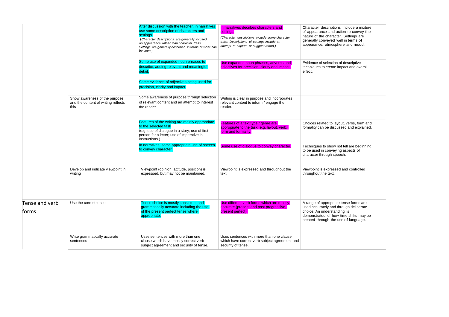|                         |                                                                              | After discussion with the teacher, in narratives<br>use some description of characters and<br>settings.<br>(Character descriptions are generally focused<br>on appearance rather than character traits.<br>Settings are generally described in terms of what can<br>be seen.) | In narratives decribes characters and<br>settings.<br>(Character descriptions include some character<br>traits. Descriptions of settings include an<br>attempt to capture or suggest mood.) | Character descriptions include a mixture<br>of appearance and action to convey the<br>nature of the character. Settings are<br>generally conveyed well in terms of<br>appearance, atmosphere and mood. |
|-------------------------|------------------------------------------------------------------------------|-------------------------------------------------------------------------------------------------------------------------------------------------------------------------------------------------------------------------------------------------------------------------------|---------------------------------------------------------------------------------------------------------------------------------------------------------------------------------------------|--------------------------------------------------------------------------------------------------------------------------------------------------------------------------------------------------------|
|                         |                                                                              | Some use of expanded noun phrases to<br>describe, adding relevant and meaningful<br>detail.<br>Some evidence of adjectives being used for                                                                                                                                     | Use expanded noun phrases, adverbs and<br>adjectives for precision, clarity and impact.                                                                                                     | Evidence of selection of descriptive<br>techniques to create impact and overall<br>effect.                                                                                                             |
|                         |                                                                              | precision, clarity and impact.                                                                                                                                                                                                                                                |                                                                                                                                                                                             |                                                                                                                                                                                                        |
|                         | Show awareness of the purpose<br>and the content of writing reflects<br>this | Some awareness of purpose through selection<br>of relevant content and an attempt to interest<br>the reader.                                                                                                                                                                  | Writing is clear in purpose and incorporates<br>relevant content to inform / engage the<br>reader.                                                                                          |                                                                                                                                                                                                        |
|                         |                                                                              | Features of the writing are mainly appropriate<br>to the selected task<br>(e.g. use of dialogue in a story; use of first<br>person for a letter; use of imperative in<br>instructions.)                                                                                       | Features of a text type / genre are<br>appropriate to the task, e.g. layout, verb,<br>form and formality.                                                                                   | Choices related to layout, verbs, form and<br>formality can be discussed and explained.                                                                                                                |
|                         |                                                                              | In narratives, some appropriate use of speech<br>to convey character.                                                                                                                                                                                                         | Some use of dialogue to convey character.                                                                                                                                                   | Techniques to show not tell are beginning<br>to be used in conveying aspects of<br>character through speech.                                                                                           |
|                         | Develop and indicate viewpoint in<br>writing                                 | Viewpoint (opinion, attitude, position) is<br>expressed, but may not be maintained.                                                                                                                                                                                           | Viewpoint is expressed and throughout the<br>text.                                                                                                                                          | Viewpoint is expressed and controlled<br>throughout the text.                                                                                                                                          |
| Tense and verb<br>forms | Use the correct tense                                                        | Tense choice is mostly consistent and<br>grammatically accurate including the use<br>of the present perfect tense where<br>appropriate.                                                                                                                                       | Use different verb forms which are mostly<br>accurate (present and past progressive,<br>present perfect).                                                                                   | A range of appropriate tense forms are<br>used accurately and through deliberate<br>choice. An understanding is<br>demonstrated of how time shifts may be<br>created through the use of language.      |
|                         | Write grammatically accurate<br>sentences                                    | Uses sentences with more than one<br>clause which have mostly correct verb<br>subject agreement and security of tense.                                                                                                                                                        | Uses sentences with more than one clause<br>which have correct verb subject agreement and<br>security of tense.                                                                             |                                                                                                                                                                                                        |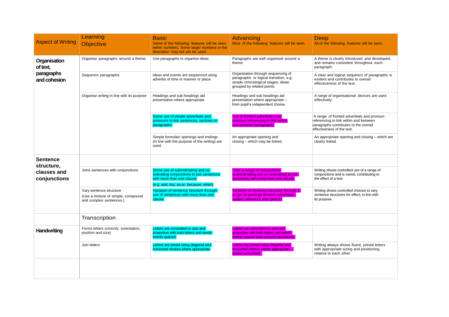| <b>Aspect of Writing</b>                  | Learning<br><b>Objective</b>                                                             | <b>Basic</b><br>Some of the following features will be seen<br>within numbers. Some larger numbers in the<br>descriptor may not yet be used.           | Advancing<br>Most of the following features will be seen.                                                                                        | Deep<br>All of the following features will be seen.                                                                                                        |
|-------------------------------------------|------------------------------------------------------------------------------------------|--------------------------------------------------------------------------------------------------------------------------------------------------------|--------------------------------------------------------------------------------------------------------------------------------------------------|------------------------------------------------------------------------------------------------------------------------------------------------------------|
| Organisation<br>of text,                  | Organise paragraphs around a theme.                                                      | Use paragraphs to organise ideas                                                                                                                       | Paragraphs are well organised around a<br>theme.                                                                                                 | A theme is clearly introduced and developed,<br>and remains consistent throughout each<br>paragraph.                                                       |
| paragraphs<br>and cohesion                | Sequence paragraphs.                                                                     | Ideas and events are sequenced using<br>adverbs of time or manner or place.                                                                            | Organisation through sequencing of<br>paragraphs or logical transition, e.g.<br>simple chronological stages; ideas<br>grouped by related points. | A clear and logical sequence of paragraphs is<br>evident and contributes to overall<br>effectiveness of the text.                                          |
|                                           | Organise writing in line with its purpose                                                | Headings and sub headings aid<br>presentation where appropriate                                                                                        | Headings and sub headings aid<br>presentation where appropriate -<br>from pupil's independent choice.                                            | A range of organisational devices are used<br>effectively.                                                                                                 |
|                                           |                                                                                          | Some use of simple adverbials and<br>pronouns to link sentences, sections or<br>paragraphs.                                                            | Use of fronted adverbials and<br>pronoun referencing to link within<br>and between paragraphs.                                                   | A range of fronted adverbials and pronoun<br>referencing to link within and between<br>paragraphs contributes to the overall<br>effectiveness of the text. |
|                                           |                                                                                          | Simple formulaic openings and endings<br>(in line with the purpose of the writing) are<br>used.                                                        | An appropriate opening and<br>closing - which may be linked.                                                                                     | An appropriate opening and closing - which are<br>clearly linked.                                                                                          |
| <b>Sentence</b>                           |                                                                                          |                                                                                                                                                        |                                                                                                                                                  |                                                                                                                                                            |
| structure,<br>clauses and<br>conjunctions | Joins sentences with conjunctions                                                        | Some use of subordinating and co-<br>ordinating conjunctions to join sentences<br>with more than one clause.<br>(e.g. and, but, so, or, because, when) | Uses a range of conjunctions<br>(subordinating and co-ordinating) to join<br>sentences with more than one clause.                                | Writing shows controlled use of a range of<br>conjunctions and is varied, contributing to<br>the effect of a text.                                         |
|                                           | Vary sentence structure<br>(Use a mixture of simple, compound<br>and complex sentences.) | Variation of sentence structure through<br>use of sentences with more than one<br>clause.                                                              | Variation of sentence structure through a<br>range of openings (fronted adverbials,<br>subject reference and speech)                             | Writing shows controlled choices to vary<br>sentence structures for effect, in line with<br>its purpose.                                                   |
|                                           | Transcription                                                                            |                                                                                                                                                        |                                                                                                                                                  |                                                                                                                                                            |
| Handwriting                               | Forms letters correctly (orientation,<br>position and size)                              | Letters are consisitent in size and<br>proportion with both letters and words<br>evenly spaced.                                                        | Letters are consisitent in size and<br>proportion with both letters and words<br>evenly spaced and correctly positioned.                         |                                                                                                                                                            |
|                                           | Join letters                                                                             | Letters are joined using diagonal and<br>horizontal strokes where appropriate                                                                          | Letters are joined using diagonal and<br>horizontal strokes where appropriate -<br>always accurately.                                            | Writing always shows fluent, joined letters<br>with appropriate sizing and positioning,<br>relative to each other.                                         |
|                                           |                                                                                          |                                                                                                                                                        |                                                                                                                                                  |                                                                                                                                                            |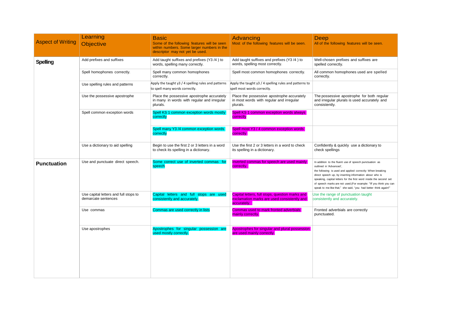| <b>Aspect of Writing</b> | Learning<br><b>Objective</b>                                 | <b>Basic</b><br>Some of the following features will be seen<br>within numbers. Some larger numbers in the<br>descriptor may not yet be used. | Advancing<br>Most of the following features will be seen.                                                     | Deep<br>All of the following features will be seen.                                                                                                                                                                                                                                                                                                                                                                     |
|--------------------------|--------------------------------------------------------------|----------------------------------------------------------------------------------------------------------------------------------------------|---------------------------------------------------------------------------------------------------------------|-------------------------------------------------------------------------------------------------------------------------------------------------------------------------------------------------------------------------------------------------------------------------------------------------------------------------------------------------------------------------------------------------------------------------|
| <b>Spelling</b>          | Add prefixes and suffixes                                    | Add taught suffixes and prefixes (Y3 /4) to<br>words, spelling many correctly.                                                               | Add taught suffixes and prefixes (Y3/4) to<br>words, spelling most correctly.                                 | Well-chosen prefixes and suffixes are<br>spelled correctly.                                                                                                                                                                                                                                                                                                                                                             |
|                          | Spell homophones correctly.                                  | Spell many common homophones<br>correctly.                                                                                                   | Spell most common homophones correctly.                                                                       | All common homophones used are spelled<br>correctly.                                                                                                                                                                                                                                                                                                                                                                    |
|                          | Use spelling rules and patterns                              | Apply the taught y3 / 4 spelling rules and patterns<br>to spell many words correctly.                                                        | Apply the taught y3 / 4 spelling rules and patterns to<br>spell most words correctly.                         |                                                                                                                                                                                                                                                                                                                                                                                                                         |
|                          | Use the possessive apostrophe                                | Place the possessive apostrophe accurately<br>in many in words with regular and irregular<br>plurals.                                        | Place the possessive apostrophe accurately<br>in most words with regular and irregular<br>plurals.            | The possessive apostrophe for both regular<br>and irregular plurals is used accurately and<br>consistently.                                                                                                                                                                                                                                                                                                             |
|                          | Spell common exception words                                 | Spell KS 1 common exception words mostly<br>correctly                                                                                        | Spell KS 1 common exception words always<br>correctly                                                         |                                                                                                                                                                                                                                                                                                                                                                                                                         |
|                          |                                                              | Spell many Y3 /4 common exception words<br>correctly                                                                                         | Spell most Y3 / 4 common exception words<br>correctly                                                         |                                                                                                                                                                                                                                                                                                                                                                                                                         |
|                          | Use a dictionary to aid spelling                             | Begin to use the first 2 or 3 letters in a word<br>to check its spelling in a dictionary.                                                    | Use the first 2 or 3 letters in a word to check<br>its spelling in a dictionary.                              | Confidently & quickly use a dictionary to<br>check spellings                                                                                                                                                                                                                                                                                                                                                            |
| <b>Punctuation</b>       | Use and punctuate direct speech.                             | Some correct use of inverted commas for<br>speech                                                                                            | Inverted commas for speech are used mainly<br>correctly.                                                      | In addition to the fluent use of speech punctuation as<br>outlined in 'Advanced',<br>the following is used and applied correctly: When breaking<br>direct speech up, by inserting information about who is<br>speaking, capital letters for the first word inside the second set<br>of speech marks are not used.(For example: "If you think you can<br>speak to me like that," she said, "you had better think again!" |
|                          | Use capital letters and full stops to<br>demarcate sentences | Capital letters and full stops are used<br>consistently and accurately.                                                                      | Capital letters, full stops, question marks and<br>exclamation marks are used consistently and<br>accurately. | Use the range of punctuation taught<br>consistently and accurately.                                                                                                                                                                                                                                                                                                                                                     |
|                          | Use commas                                                   | Commas are used correctly in lists                                                                                                           | Commas used to mark fronted adverbials<br>mainly correctly.                                                   | Fronted adverbials are correctly<br>punctuated.                                                                                                                                                                                                                                                                                                                                                                         |
|                          | Use apostrophes                                              | Apostrophes for singular possession are<br>used mostly correctly.                                                                            | Apostrophes for singular and plural possession<br>are used mainly correctly.                                  |                                                                                                                                                                                                                                                                                                                                                                                                                         |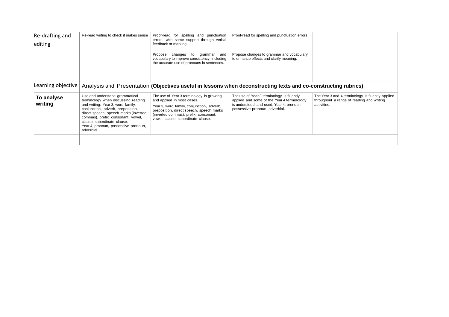| Re-drafting and<br>editing | Re-read writing to check it makes sense                                                                                                                                                                                                                                                                             | Proof-read for spelling and punctuation<br>errors, with some support through verbal<br>feedback or marking.                                                                                                                                    | Proof-read for spelling and punctuation errors                                                                                                                        |                                                                                                              |
|----------------------------|---------------------------------------------------------------------------------------------------------------------------------------------------------------------------------------------------------------------------------------------------------------------------------------------------------------------|------------------------------------------------------------------------------------------------------------------------------------------------------------------------------------------------------------------------------------------------|-----------------------------------------------------------------------------------------------------------------------------------------------------------------------|--------------------------------------------------------------------------------------------------------------|
|                            |                                                                                                                                                                                                                                                                                                                     | changes to<br>Propose<br>grammar and<br>vocabulary to improve consistency, including<br>the accurate use of pronouns in sentences.                                                                                                             | Propose changes to grammar and vocabulary<br>to enhance effects and clarify meaning.                                                                                  |                                                                                                              |
| Learning objective         |                                                                                                                                                                                                                                                                                                                     |                                                                                                                                                                                                                                                | Analysis and Presentation (Objectives useful in lessons when deconstructing texts and co-constructing rubrics)                                                        |                                                                                                              |
| To analyse<br>writing      | Use and understand grammatical<br>terminology when discussing reading<br>and writing: Year 3, word family,<br>conjunction, adverb, preposition,<br>direct speech, speech marks (inverted<br>commas), prefix, consonant, vowel,<br>clause, subordinate clause.<br>Year 4, pronoun, possessive pronoun,<br>adverbial. | The use of Year 3 terminology is growing<br>and applied in most cases.<br>Year 3, word family, conjunction, adverb,<br>preposition, direct speech, speech marks<br>(inverted commas), prefix, consonant,<br>vowel, clause, subordinate clause. | The use of Year 3 terminology is fluently<br>applied and some of the Year 4 terminology<br>is understood and used. Year 4, pronoun,<br>possessive pronoun, adverbial. | The Year 3 and 4 terminology is fluently applied<br>throughout a range of reading and writing<br>activities. |
|                            |                                                                                                                                                                                                                                                                                                                     |                                                                                                                                                                                                                                                |                                                                                                                                                                       |                                                                                                              |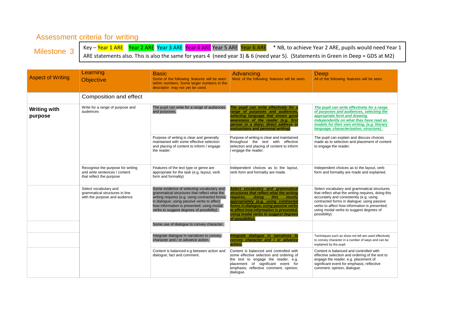#### Assessment criteria for writing

Milestone 3

Key – Year 1 ARE Year 2 ARE Year 3 ARE Year 4 ARE Year 5 ARE Year 6 ARE \* NB, to achieve Year 2 ARE, pupils would need Year 1 ARE statements also. This is also the same for years 4 (need year 3) & 6 (need year 5). (Statements in Green in Deep = GDS at M2)

| <b>Aspect of Writing</b>       | Learning<br><b>Objective</b>                                                                   | <b>Basic</b><br>Some of the following features will be seen<br>within numbers. Some larger numbers in the<br>descriptor may not yet be used.                                                                                                                                       | Advancing<br>Most of the following features will be seen.                                                                                                                                                                                                                                                      | Deep<br>All of the following features will be seen.                                                                                                                                                                                                                                                       |
|--------------------------------|------------------------------------------------------------------------------------------------|------------------------------------------------------------------------------------------------------------------------------------------------------------------------------------------------------------------------------------------------------------------------------------|----------------------------------------------------------------------------------------------------------------------------------------------------------------------------------------------------------------------------------------------------------------------------------------------------------------|-----------------------------------------------------------------------------------------------------------------------------------------------------------------------------------------------------------------------------------------------------------------------------------------------------------|
|                                | Composition and effect                                                                         |                                                                                                                                                                                                                                                                                    |                                                                                                                                                                                                                                                                                                                |                                                                                                                                                                                                                                                                                                           |
| <b>Writing with</b><br>purpose | Write for a range of purpose and<br>audeinces                                                  | The pupil can write for a range of audiences<br>and purposes.                                                                                                                                                                                                                      | The pupil can write effectively for a<br>range of purposes and audiences,<br>selecting language that shows good<br>awareness of the reader (e.g. first<br>person in a diary; direct address in<br>instructions and personal writing)                                                                           | The pupil can write effectively for a range<br>of purposes and audiences, selecting the<br>appropriate form and drawing<br>independently on what they have read as<br>models for their own writing. (e.g. literary<br>language, characterization, structure).                                             |
|                                |                                                                                                | Purpose of writing is clear and generally<br>maintained with some effective selection<br>and placing of content to inform / engage<br>the reader.                                                                                                                                  | Purpose of writing is clear and maintained<br>throughout the text with effective<br>selection and placing of content to inform<br>/ engage the reader.                                                                                                                                                         | The pupil can explain and discuss choices<br>made as to selection and placement of content<br>to engage the reader.                                                                                                                                                                                       |
|                                | Recognise the purpose for writing<br>and write sentences / content<br>that reflect the purpose | Features of the text type or genre are<br>appropriate for the task (e.g. layout, verb<br>form and formality)                                                                                                                                                                       | Independent choices as to the layout,<br>verb form and formality are made.                                                                                                                                                                                                                                     | Independent choices as to the layout, verb<br>form and formality are made and explained.                                                                                                                                                                                                                  |
|                                | Select vocabulary and<br>grammatical structures in line<br>with the purpose and audience       | Some evidence of selecting vocabulary and<br>grammatical structures that reflect what the<br>writing requires (e.g. using contracted forms<br>in dialogue; using passive verbs to affect<br>how information is presented; using modal<br>verbs to suggest degrees of possibility). | Select vocabulary and grammatical<br>structures that reflect what the writing<br>requires.<br>doina<br>this<br>mostly<br>appropriately (e.g. using contracted<br>forms in dialogue; using passive verbs<br>to affect how information is presented,<br>using modal verbs to suggest degrees<br>of possibility). | Select vocabulary and grammatical structures<br>that reflect what the writing requires, doing this<br>accurately and consistently (e.g. using<br>contracted forms in dialogue; using passive<br>verbs to affect how information is presented;<br>using modal verbs to suggest degrees of<br>possibility). |
|                                |                                                                                                | Some use of dialogue to convey character.                                                                                                                                                                                                                                          |                                                                                                                                                                                                                                                                                                                |                                                                                                                                                                                                                                                                                                           |
|                                |                                                                                                | Integrate dialogue in narratives to convey<br>character and / or advance action.                                                                                                                                                                                                   | Integrate dialogue in narratives to<br>convey character and / or advance<br>action.                                                                                                                                                                                                                            | Techniques such as show not tell are used effectively<br>to convey character in a number of ways and can be<br>explained by the pupil.                                                                                                                                                                    |
|                                |                                                                                                | Content is balanced e.g between action and<br>dialogue; fact and comment.                                                                                                                                                                                                          | Content is balanced and controlled with<br>some effective selection and ordering of<br>the text to engage the reader, e.g.<br>placement of significant event for<br>emphasis; reflective comment; opinion;<br>dialogue.                                                                                        | Content is balanced and controlled with<br>effective selection and ordering of the text to<br>engage the reader, e.g. placement of<br>significant event for emphasis; reflective<br>comment; opinion; dialogue.                                                                                           |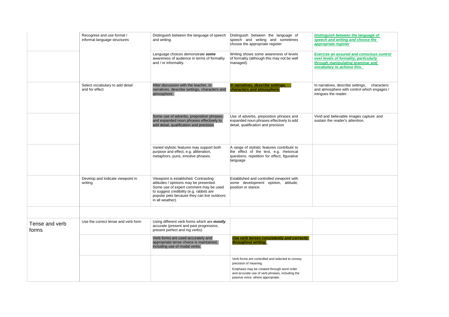|                         | Recognise and use formal /<br>informal language structures | Distinguish between the language of speech<br>and writing.                                                                                                                                                                               | Distinguish between the language of<br>speech and writing and sometimes<br>choose the appropriate register                                                                                                      | Distinguish between the language of<br>speech and writing and choose the<br>appropriate register                                                              |
|-------------------------|------------------------------------------------------------|------------------------------------------------------------------------------------------------------------------------------------------------------------------------------------------------------------------------------------------|-----------------------------------------------------------------------------------------------------------------------------------------------------------------------------------------------------------------|---------------------------------------------------------------------------------------------------------------------------------------------------------------|
|                         |                                                            | Language choices demonstrate some<br>awareness of audience in terms of formality<br>and / or informality.                                                                                                                                | Writing shows some awareness of levels<br>of formality (although this may not be well<br>managed).                                                                                                              | <b>Exercise an assured and conscious control</b><br>over levels of formality, particularly<br>through manipulating grammar and<br>vocabulary to achieve this. |
|                         | Select vocabulary to add detail<br>and for effect          | After discussion with the teacher, in<br>narratives, describe settings, characters and<br>atmosphere.                                                                                                                                    | In narratives, describe settings,<br>characters and atmosphere.                                                                                                                                                 | In narratives, describe settings,<br>characters<br>and atmosphere with control which engages /<br>intrigues the reader.                                       |
|                         |                                                            | Some use of adverbs, preposition phrases<br>and expanded noun phrases effectively to<br>add detail, qualification and precision                                                                                                          | Use of adverbs, preposition phrases and<br>expanded noun phrases effectively to add<br>detail, qualification and precision                                                                                      | Vivid and believable images capture and<br>sustain the reader's attention.                                                                                    |
|                         |                                                            | Varied stylistic features may support both<br>purpose and effect, e.g. alliteration,<br>metaphors, puns, emotive phrases.                                                                                                                | A range of stylistic features contribute to<br>the effect of the text, e.g. rhetorical<br>questions; repetition for effect; figurative<br>language                                                              |                                                                                                                                                               |
|                         | Develop and indicate viewpoint in<br>writing               | Viewpoint is established. Contrasting<br>attitudes / opinions may be presented.<br>Some use of expert comment may be used<br>to suggest credibility (e.g. rabbits are<br>popular pets because they can live outdoors<br>in all weather). | Established and controlled viewpoint with<br>some development opinion, attitude,<br>position or stance.                                                                                                         |                                                                                                                                                               |
| Tense and verb<br>forms | Use the correct tense and verb form                        | Using different verb forms which are mostly<br>accurate (present and past progressive,<br>present perfect and ing verbs)                                                                                                                 |                                                                                                                                                                                                                 |                                                                                                                                                               |
|                         |                                                            | Verb forms are used accurately and<br>appropriate tense choice is maintained,<br>including use of modal verbs.                                                                                                                           | Use verb tenses consistently and correctly<br>throughout writing.                                                                                                                                               |                                                                                                                                                               |
|                         |                                                            |                                                                                                                                                                                                                                          | Verb forms are controlled and selected to convey<br>precision of meaning.<br>Emphasis may be created through word order<br>and accurate use of verb phrases, including the<br>passive voice, where appropriate. |                                                                                                                                                               |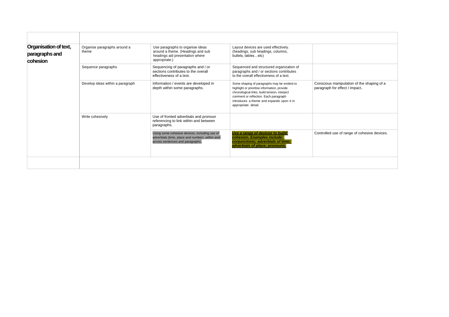| Organisation of text,<br>paragraphs and<br>cohesion | Organise paragraphs around a<br>theme | Use paragraphs to organise ideas<br>around a theme. (Headings and sub<br>headings aid presentation where<br>appropriate.)            | Layout devices are used effectively.<br>(headings, sub headings, columns,<br>bullets, tablesetc)                                                                                                                                                           |                                                                             |
|-----------------------------------------------------|---------------------------------------|--------------------------------------------------------------------------------------------------------------------------------------|------------------------------------------------------------------------------------------------------------------------------------------------------------------------------------------------------------------------------------------------------------|-----------------------------------------------------------------------------|
|                                                     | Sequence paragraphs                   | Sequencing of paragraphs and / or<br>sections contributes to the overall<br>effectiveness of a text.                                 | Sequenced and structured organization of<br>paragraphs and / or sections contributes<br>to the overall effectiveness of a text.                                                                                                                            |                                                                             |
|                                                     | Develop ideas within a paragraph      | Information / events are developed in<br>depth within some paragraphs.                                                               | Some shaping of paragraphs may be evident to<br>highlight or prioritise information, provide<br>chronological links, build tension, interject<br>comment or reflection. Each paragraph<br>introduces a theme and expands upon it in<br>appropriate detail. | Conscious manipulation of the shaping of a<br>paragraph for effect / impact |
|                                                     | Write cohesively                      | Use of fronted adverbials and pronoun<br>referencing to link within and between<br>paragraphs.                                       |                                                                                                                                                                                                                                                            |                                                                             |
|                                                     |                                       | Using some cohesive devices, including use of<br>adverbials (time, place and number), within and<br>across sentences and paragraphs. | Use a range of devices to build<br>cohesion. Examples include:<br>conjunctions; adverbials of time;<br>adverbials of place; pronouns.                                                                                                                      | Controlled use of range of cohesive devices.                                |
|                                                     |                                       |                                                                                                                                      |                                                                                                                                                                                                                                                            |                                                                             |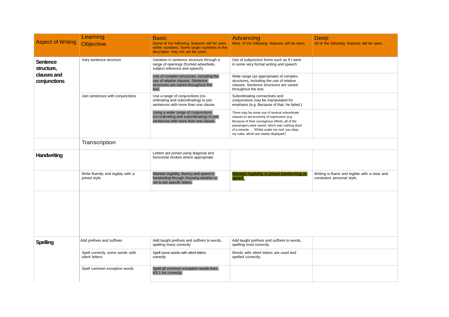| <b>Aspect of Writing</b>                                     | Learning<br><b>Objective</b>                       | Basic<br>Some of the following features will be seen<br>within numbers. Some larger numbers in the<br>descriptor may not yet be used. | <b>Advancing</b><br>Most of the following features will be seen.                                                                                                                                                                                                                           | Deep<br>All of the following features will be seen.                          |  |
|--------------------------------------------------------------|----------------------------------------------------|---------------------------------------------------------------------------------------------------------------------------------------|--------------------------------------------------------------------------------------------------------------------------------------------------------------------------------------------------------------------------------------------------------------------------------------------|------------------------------------------------------------------------------|--|
| <b>Sentence</b><br>structure,<br>clauses and<br>conjunctions | Vary sentence structure                            | Variation in sentence structure through a<br>range of openings (fronted adverbials,<br>subject reference and speech).                 | Use of subjunctive forms such as If I were<br>in some very formal writing and speech                                                                                                                                                                                                       |                                                                              |  |
|                                                              |                                                    | Use of complex structures, including the<br>use of relative clauses. Sentence<br>structures are varied throughout the<br>text.        | Wide range (as appropriate) of complex<br>structures, including the use of relative<br>clauses. Sentence structures are varied<br>throughout the text.                                                                                                                                     |                                                                              |  |
|                                                              | Join sentences with conjunctions                   | Use a range of conjunctions (co-<br>ordinating and subordinating) to join<br>sentences with more than one clause.                     | Subordinating connectives and<br>conjunctions may be manipulated for<br>emphasis (e.g. Because of that, he failed.)                                                                                                                                                                        |                                                                              |  |
|                                                              |                                                    | Using a wider range of conjunctions<br>(co-ordinating and subordinating) to join<br>sentences with more than one clause.              | There may be some use of several subordinate<br>clauses to aid economy of expression (e.g.<br>Because of their courageous efforts, all of the<br>passengers were saved, which was nothing short<br>of a miracle 'Whilst under my roof, you obey<br>my rules, which are clearly displayed') |                                                                              |  |
|                                                              | Transcription                                      |                                                                                                                                       |                                                                                                                                                                                                                                                                                            |                                                                              |  |
| Handwriting                                                  |                                                    | Letters are joined using diagonal and<br>horizontal strokes where appropriate.                                                        |                                                                                                                                                                                                                                                                                            |                                                                              |  |
|                                                              | Write fluently and legibly with a<br>joined style. | Maintain legibility, fluency and speed in<br>handwriting through choosing whether or<br>not to join specific letters.                 | <b>Maintain legibility in joined handwriting at</b><br>speed.                                                                                                                                                                                                                              | Writing is fluent and legible with a clear and<br>consistent personal style. |  |
|                                                              |                                                    |                                                                                                                                       |                                                                                                                                                                                                                                                                                            |                                                                              |  |
| <b>Spelling</b>                                              | Add prefixes and suffixes                          | Add taught prefixes and suffixes to words,<br>spelling many correctly                                                                 | Add taught prefixes and suffixes to words,<br>spelling most correctly                                                                                                                                                                                                                      |                                                                              |  |
|                                                              | Spell correctly some words with<br>silent letters. | Spell some words with silent letters<br>correctly                                                                                     | Words with silent letters are used and<br>spelled correctly.                                                                                                                                                                                                                               |                                                                              |  |
|                                                              | Spell common exception words                       | Spell all common exception words from<br>KS 1 list correctly.                                                                         |                                                                                                                                                                                                                                                                                            |                                                                              |  |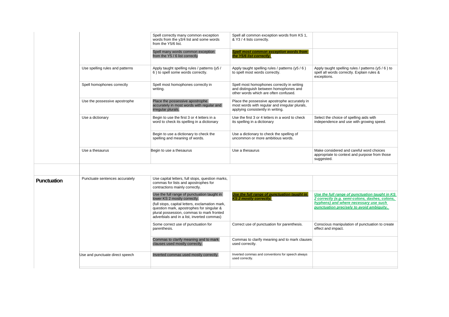|             |                                 | Spell correctly many common exception<br>words from the y3/4 list and some words<br>from the Y5/6 list.                                                                                 | Spell all common exception words from KS 1,<br>& Y3 / 4 lists correctly.                                                             |                                                                                                                 |
|-------------|---------------------------------|-----------------------------------------------------------------------------------------------------------------------------------------------------------------------------------------|--------------------------------------------------------------------------------------------------------------------------------------|-----------------------------------------------------------------------------------------------------------------|
|             |                                 | Spell many words common exception<br>from the Y5 / 6 list correctly                                                                                                                     | Spell most common exception words from<br>the Y5/6 list correctly.                                                                   |                                                                                                                 |
|             | Use spelling rules and patterns | Apply taught spelling rules / patterns (y5 /<br>6) to spell some words correctly.                                                                                                       | Apply taught spelling rules / patterns (y5 / 6)<br>to spell most words correctly.                                                    | Apply taught spelling rules / patterns $(y5/6)$ to<br>spell all words correctly. Explain rules &<br>exceptions. |
|             | Spell homophones correctly      | Spell most homophones correctly in<br>writing.                                                                                                                                          | Spell most homophones correctly in writing<br>and distinguish between homophones and<br>other words which are often confused.        |                                                                                                                 |
|             | Use the possessive apostrophe   | Place the possessive apostrophe<br>accurately in most words with regular and<br>irregular plurals.                                                                                      | Place the possessive apostrophe accurately in<br>most words with regular and irregular plurals,<br>applying consistently in writing. |                                                                                                                 |
|             | Use a dictionary                | Begin to use the first 3 or 4 letters in a<br>word to check its spelling in a dictionary                                                                                                | Use the first 3 or 4 letters in a word to check<br>its spelling in a dictionary                                                      | Select the choice of spelling aids with<br>independence and use with growing speed.                             |
|             |                                 | Begin to use a dictionary to check the<br>spelling and meaning of words.                                                                                                                | Use a dictionary to check the spelling of<br>uncommon or more ambitious words.                                                       |                                                                                                                 |
|             | Use a thesaurus                 | Begin to use a thesaurus                                                                                                                                                                | Use a thesaurus                                                                                                                      | Make considered and careful word choices<br>appropriate to context and purpose from those<br>suggested.         |
|             |                                 |                                                                                                                                                                                         |                                                                                                                                      |                                                                                                                 |
| Punctuation | Punctuate sentences accurately  | Use capital letters, full stops, question marks,<br>commas for lists and apostrophes for<br>contractions mainly correctly.                                                              |                                                                                                                                      |                                                                                                                 |
|             |                                 | Use the full range of punctuation taught in<br>lower KS 2 mostly correctly.                                                                                                             | Use the full range of punctuation taught in<br><b>KS 2 mostly correctly.</b>                                                         | Use the full range of punctuation taught in KS<br>2 correctly (e.g. semi-colons, dashes, colons,                |
|             |                                 | (full stops, capital letters, exclamation mark,<br>question mark, apostrophes for singular &<br>plural possession, commas to mark fronted<br>adverbials and in a list, inverted commas) |                                                                                                                                      | hyphens) and where necessary use such<br>punctuation precisely to avoid ambiguity.                              |
|             |                                 | Some correct use of punctuation for<br>parenthesis.                                                                                                                                     | Correct use of punctuation for parenthesis.                                                                                          | Conscious manipulation of punctuation to create<br>effect and impact.                                           |
|             |                                 | Commas to clarify meaning and to mark<br>clauses used mostly correctly.                                                                                                                 | Commas to clarify meaning and to mark clauses<br>used correctly.                                                                     |                                                                                                                 |
|             | Use and punctuate direct speech | Inverted commas used mostly correctly.                                                                                                                                                  | Inverted commas and conventions for speech always<br>used correctly.                                                                 |                                                                                                                 |
|             |                                 |                                                                                                                                                                                         |                                                                                                                                      |                                                                                                                 |